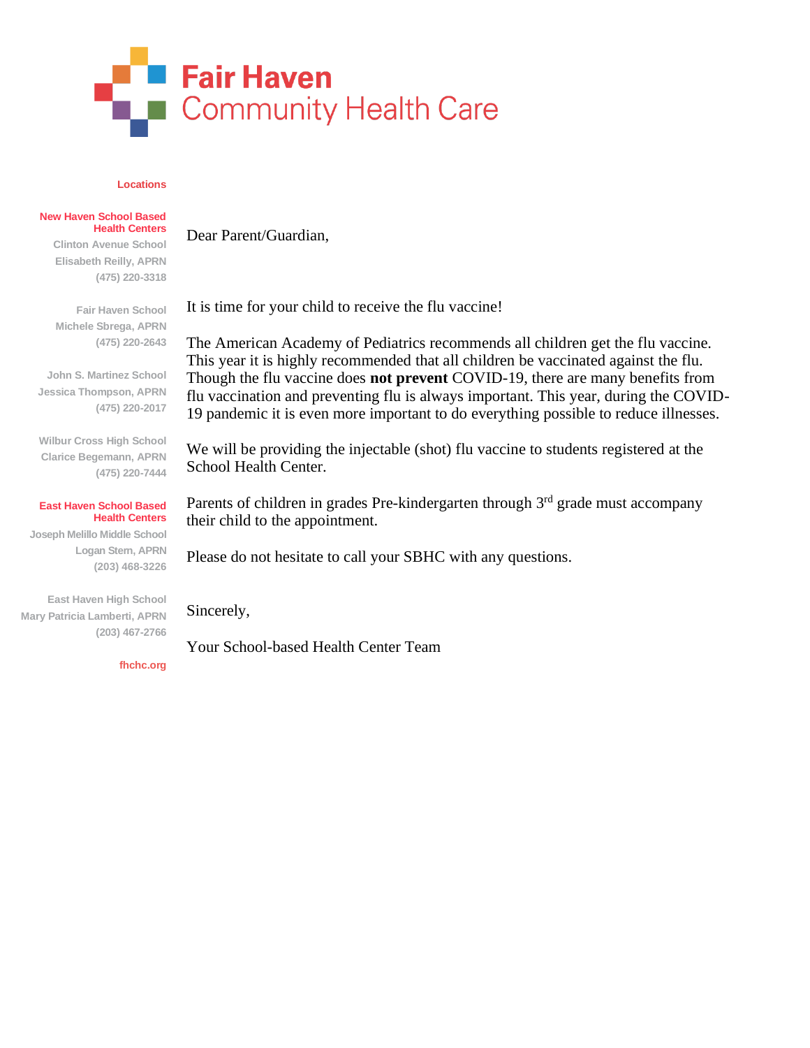

Dear Parent/Guardian,

#### **Locations**

### **New Haven School Based Health Centers**

**Clinton Avenue School Elisabeth Reilly, APRN (475) 220-3318**

**Fair Haven School Michele Sbrega, APRN (475) 220-2643**

**John S. Martinez School Jessica Thompson, APRN (475) 220-2017**

**Wilbur Cross High School Clarice Begemann, APRN (475) 220-7444**

#### **East Haven School Based Health Centers**

**Joseph Melillo Middle School Logan Stern, APRN (203) 468-3226**

**East Haven High School Mary Patricia Lamberti, APRN (203) 467-2766**

**fhchc.org**

It is time for your child to receive the flu vaccine!

The American Academy of Pediatrics recommends all children get the flu vaccine. This year it is highly recommended that all children be vaccinated against the flu. Though the flu vaccine does **not prevent** COVID-19, there are many benefits from flu vaccination and preventing flu is always important. This year, during the COVID-19 pandemic it is even more important to do everything possible to reduce illnesses.

We will be providing the injectable (shot) flu vaccine to students registered at the School Health Center.

Parents of children in grades Pre-kindergarten through 3<sup>rd</sup> grade must accompany their child to the appointment.

Please do not hesitate to call your SBHC with any questions.

Sincerely,

Your School-based Health Center Team